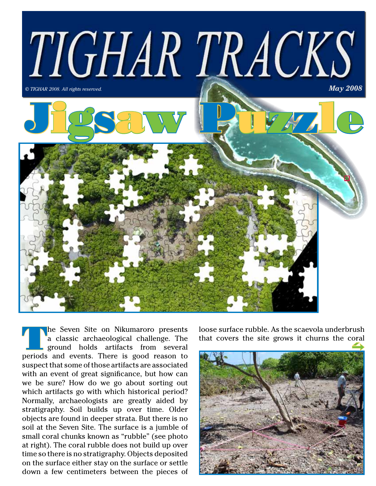

The Seven Site on Nikumaroro presents<br>
a classic archaeological challenge. The<br>
ground holds artifacts from several<br>
periods and system There is good reason to a classic archaeological challenge. The periods and events. There is good reason to suspect that some of those artifacts are associated with an event of great significance, but how can we be sure? How do we go about sorting out which artifacts go with which historical period? Normally, archaeologists are greatly aided by stratigraphy. Soil builds up over time. Older objects are found in deeper strata. But there is no soil at the Seven Site. The surface is a jumble of small coral chunks known as "rubble" (see photo at right). The coral rubble does not build up over time so there is no stratigraphy. Objects deposited on the surface either stay on the surface or settle down a few centimeters between the pieces of

loose surface rubble. As the scaevola underbrush that covers the site grows it churns the coral

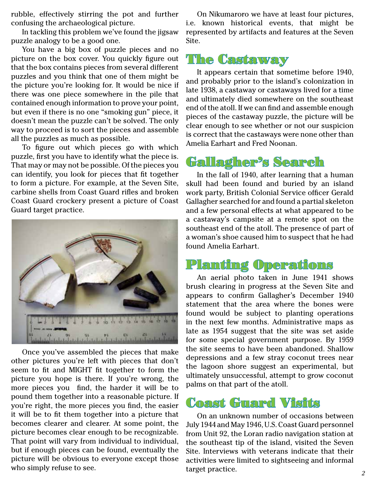rubble, effectively stirring the pot and further confusing the archaeological picture.

In tackling this problem we've found the jigsaw puzzle analogy to be a good one.

You have a big box of puzzle pieces and no picture on the box cover. You quickly figure out that the box contains pieces from several different puzzles and you think that one of them might be the picture you're looking for. It would be nice if there was one piece somewhere in the pile that contained enough information to prove your point, but even if there is no one "smoking gun" piece, it doesn't mean the puzzle can't be solved. The only way to proceed is to sort the pieces and assemble all the puzzles as much as possible.

To figure out which pieces go with which puzzle, first you have to identify what the piece is. That may or may not be possible. Of the pieces you can identify, you look for pieces that fit together to form a picture. For example, at the Seven Site, carbine shells from Coast Guard rifles and broken Coast Guard crockery present a picture of Coast Guard target practice.



Once you've assembled the pieces that make other pictures you're left with pieces that don't seem to fit and MIGHT fit together to form the picture you hope is there. If you're wrong, the more pieces you find, the harder it will be to pound them together into a reasonable picture. If you're right, the more pieces you find, the easier it will be to fit them together into a picture that becomes clearer and clearer. At some point, the picture becomes clear enough to be recognizable. That point will vary from individual to individual, but if enough pieces can be found, eventually the picture will be obvious to everyone except those who simply refuse to see.

On Nikumaroro we have at least four pictures, i.e. known historical events, that might be represented by artifacts and features at the Seven Site.

## The Castaway

It appears certain that sometime before 1940, and probably prior to the island's colonization in late 1938, a castaway or castaways lived for a time and ultimately died somewhere on the southeast end of the atoll. If we can find and assemble enough pieces of the castaway puzzle, the picture will be clear enough to see whether or not our suspicion is correct that the castaways were none other than Amelia Earhart and Fred Noonan.

## Gallagher's Search

In the fall of 1940, after learning that a human skull had been found and buried by an island work party, British Colonial Service officer Gerald Gallagher searched for and found a partial skeleton and a few personal effects at what appeared to be a castaway's campsite at a remote spot on the southeast end of the atoll. The presence of part of a woman's shoe caused him to suspect that he had found Amelia Earhart.

## Planting Operations

An aerial photo taken in June 1941 shows brush clearing in progress at the Seven Site and appears to confirm Gallagher's December 1940 statement that the area where the bones were found would be subject to planting operations in the next few months. Administrative maps as late as 1954 suggest that the site was set aside for some special government purpose. By 1959 the site seems to have been abandoned. Shallow depressions and a few stray coconut trees near the lagoon shore suggest an experimental, but ultimately unsuccessful, attempt to grow coconut palms on that part of the atoll.



On an unknown number of occasions between July 1944 and May 1946, U.S. Coast Guard personnel from Unit 92, the Loran radio navigation station at the southeast tip of the island, visited the Seven Site. Interviews with veterans indicate that their activities were limited to sightseeing and informal target practice.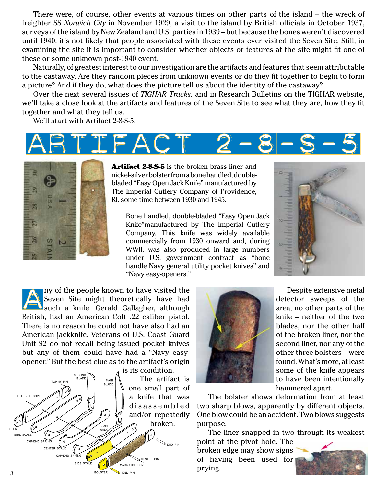There were, of course, other events at various times on other parts of the island – the wreck of freighter SS *Norwich City* in November 1929, a visit to the island by British officials in October 1937, surveys of the island by New Zealand and U.S. parties in 1939 – but because the bones weren't discovered until 1940, it's not likely that people associated with these events ever visited the Seven Site. Still, in examining the site it is important to consider whether objects or features at the site might fit one of these or some unknown post-1940 event.

Naturally, of greatest interest to our investigation are the artifacts and features that seem attributable to the castaway. Are they random pieces from unknown events or do they fit together to begin to form a picture? And if they do, what does the picture tell us about the identity of the castaway?

Over the next several issues of *TIGHAR Tracks,* and in Research Bulletins on the TIGHAR website, we'll take a close look at the artifacts and features of the Seven Site to see what they are, how they fit together and what they tell us.

We'll start with Artifact 2-8-S-5.





Artifact 2-8-5-5 is the broken brass liner and nickel-silver bolster from a bone handled, doublebladed "Easy Open Jack Knife" manufactured by The Imperial Cutlery Company of Providence, RI. some time between 1930 and 1945.

Bone handled, double-bladed "Easy Open Jack Knife"manufactured by The Imperial Cutlery Company. This knife was widely available commercially from 1930 onward and, during WWII, was also produced in large numbers under U.S. government contract as "bone handle Navy general utility pocket knives" and "Navy easy-openers."



ny of the people known to have visited the Seven Site might theoretically have had **J**such a knife. Gerald Gallagher, although British, had an American Colt .22 caliber pistol. There is no reason he could not have also had an American jackknife. Veterans of U.S. Coast Guard Unit 92 do not recall being issued pocket knives but any of them could have had a "Navy easyopener." But the best clue as to the artifact's origin





Despite extensive metal detector sweeps of the area, no other parts of the knife – neither of the two blades, nor the other half of the broken liner, nor the second liner, nor any of the other three bolsters – were found. What's more, at least some of the knife appears to have been intentionally hammered apart.

The bolster shows deformation from at least two sharp blows, apparently by different objects. One blow could be an accident. Two blows suggests purpose.

The liner snapped in two through its weakest

point at the pivot hole. The broken edge may show signs of having been used for prying.